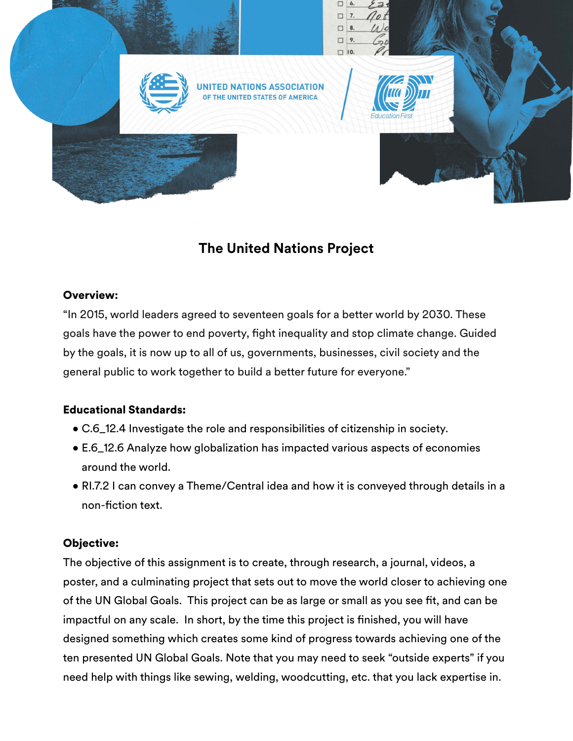

# **The United Nations Project**

## Overview**:**

"In 2015, world leaders agreed to seventeen goals for a better world by 2030. These goals have the power to end poverty, fight inequality and stop climate change. Guided by the goals, it is now up to all of us, governments, businesses, civil society and the general public to work together to build a better future for everyone."

# Educational Standards:

- C.6\_12.4 Investigate the role and responsibilities of citizenship in society.
- E.6\_12.6 Analyze how globalization has impacted various aspects of economies around the world.
- RI.7.2 I can convey a Theme/Central idea and how it is conveyed through details in a non-fiction text.

# Objective:

The objective of this assignment is to create, through research, a journal, videos, a poster, and a culminating project that sets out to move the world closer to achieving one of the UN Global Goals. This project can be as large or small as you see fit, and can be impactful on any scale. In short, by the time this project is finished, you will have designed something which creates some kind of progress towards achieving one of the ten presented UN Global Goals. Note that you may need to seek "outside experts" if you need help with things like sewing, welding, woodcutting, etc. that you lack expertise in.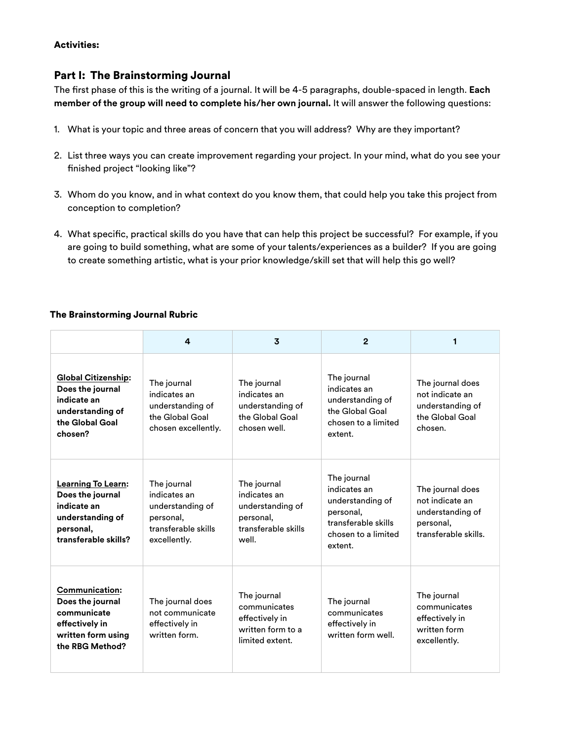#### Activities:

### Part I: The Brainstorming Journal

The first phase of this is the writing of a journal. It will be 4-5 paragraphs, double-spaced in length. **Each member of the group will need to complete his/her own journal.** It will answer the following questions:

- 1. What is your topic and three areas of concern that you will address? Why are they important?
- 2. List three ways you can create improvement regarding your project. In your mind, what do you see your finished project "looking like"?
- 3. Whom do you know, and in what context do you know them, that could help you take this project from conception to completion?
- 4. What specific, practical skills do you have that can help this project be successful? For example, if you are going to build something, what are some of your talents/experiences as a builder? If you are going to create something artistic, what is your prior knowledge/skill set that will help this go well?

#### The Brainstorming Journal Rubric

|                                                                                                                       | 4                                                                                                   | 3                                                                                            | $\mathbf{2}$                                                                                                          | 1                                                                                            |
|-----------------------------------------------------------------------------------------------------------------------|-----------------------------------------------------------------------------------------------------|----------------------------------------------------------------------------------------------|-----------------------------------------------------------------------------------------------------------------------|----------------------------------------------------------------------------------------------|
| <b>Global Citizenship:</b><br>Does the journal<br>indicate an<br>understanding of<br>the Global Goal<br>chosen?       | The journal<br>indicates an<br>understanding of<br>the Global Goal<br>chosen excellently.           | The journal<br>indicates an<br>understanding of<br>the Global Goal<br>chosen well.           | The journal<br>indicates an<br>understanding of<br>the Global Goal<br>chosen to a limited<br>extent.                  | The journal does<br>not indicate an<br>understanding of<br>the Global Goal<br>chosen.        |
| <b>Learning To Learn:</b><br>Does the journal<br>indicate an<br>understanding of<br>personal,<br>transferable skills? | The journal<br>indicates an<br>understanding of<br>personal,<br>transferable skills<br>excellently. | The journal<br>indicates an<br>understanding of<br>personal,<br>transferable skills<br>well. | The journal<br>indicates an<br>understanding of<br>personal,<br>transferable skills<br>chosen to a limited<br>extent. | The journal does<br>not indicate an<br>understanding of<br>personal,<br>transferable skills. |
| <b>Communication:</b><br>Does the journal<br>communicate<br>effectively in<br>written form using<br>the RBG Method?   | The journal does<br>not communicate<br>effectively in<br>written form.                              | The journal<br>communicates<br>effectively in<br>written form to a<br>limited extent.        | The journal<br>communicates<br>effectively in<br>written form well.                                                   | The journal<br>communicates<br>effectively in<br>written form<br>excellently.                |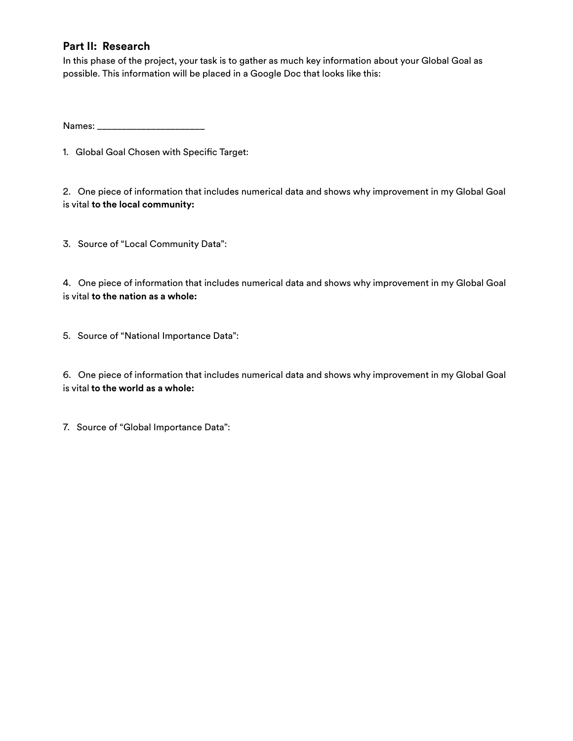### **Part II: Research**

In this phase of the project, your task is to gather as much key information about your Global Goal as possible. This information will be placed in a Google Doc that looks like this:

Names:

1. Global Goal Chosen with Specific Target:

2. One piece of information that includes numerical data and shows why improvement in my Global Goal is vital **to the local community:**

3. Source of "Local Community Data":

4. One piece of information that includes numerical data and shows why improvement in my Global Goal is vital **to the nation as a whole:**

5. Source of "National Importance Data":

6. One piece of information that includes numerical data and shows why improvement in my Global Goal is vital **to the world as a whole:**

7. Source of "Global Importance Data":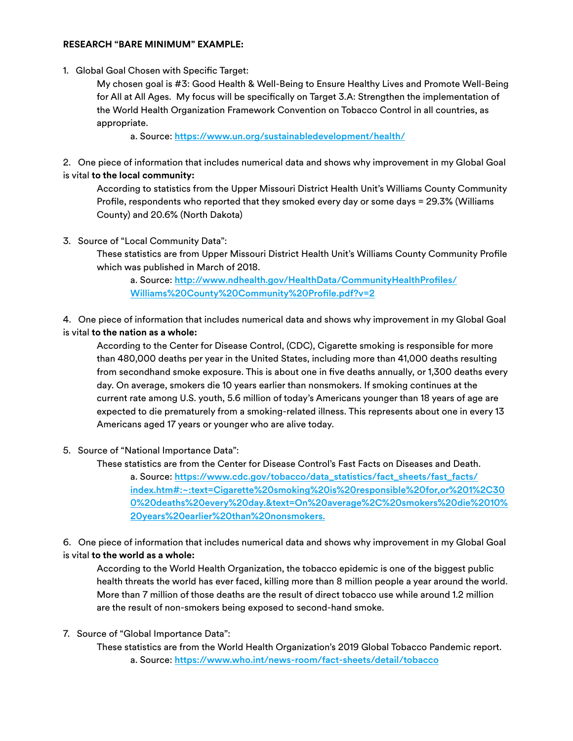#### **RESEARCH "BARE MINIMUM" EXAMPLE:**

1. Global Goal Chosen with Specific Target:

My chosen goal is #3: Good Health & Well-Being to Ensure Healthy Lives and Promote Well-Being for All at All Ages. My focus will be specifically on Target 3.A: Strengthen the implementation of the World Health Organization Framework Convention on Tobacco Control in all countries, as appropriate.

a. Source: <https://www.un.org/sustainabledevelopment/health/>

2. One piece of information that includes numerical data and shows why improvement in my Global Goal is vital **to the local community:**

According to statistics from the Upper Missouri District Health Unit's Williams County Community Profile, respondents who reported that they smoked every day or some days = 29.3% (Williams County) and 20.6% (North Dakota)

3. Source of "Local Community Data":

These statistics are from Upper Missouri District Health Unit's Williams County Community Profile which was published in March of 2018.

a. Source: [http://www.ndhealth.gov/HealthData/CommunityHealthPro](http://www.ndhealth.gov/HealthData/CommunityHealthProfiles/Williams%20County%20Community%20Profile.pdf)files/ [Williams%20County%20Community%20Pro](http://www.ndhealth.gov/HealthData/CommunityHealthProfiles/Williams%20County%20Community%20Profile.pdf)file.pdf?v=2

4. One piece of information that includes numerical data and shows why improvement in my Global Goal is vital **to the nation as a whole:**

According to the Center for Disease Control, (CDC), Cigarette smoking is responsible for more than 480,000 deaths per year in the United States, including more than 41,000 deaths resulting from secondhand smoke exposure. This is about one in five deaths annually, or 1,300 deaths every day. On average, smokers die 10 years earlier than nonsmokers. If smoking continues at the current rate among U.S. youth, 5.6 million of today's Americans younger than 18 years of age are expected to die prematurely from a smoking-related illness. This represents about one in every 13 Americans aged 17 years or younger who are alive today.

5. Source of "National Importance Data":

These statistics are from the Center for Disease Control's Fast Facts on Diseases and Death. a. Source: [https://www.cdc.gov/tobacco/data\\_statistics/fact\\_sheets/fast\\_facts/](https://www.cdc.gov/tobacco/data_statistics/fact_sheets/fast_facts/index.htm#:~:text=Cigarette%20smoking%20is%20responsible%20for,or%201%2C300%20deaths%20every%20day.&text=On%20average%2C%20smokers%20die%2010%20years%20earlier%20than%20nonsmokers) [index.htm#:~:text=Cigarette%20smoking%20is%20responsible%20for,or%201%2C30](https://www.cdc.gov/tobacco/data_statistics/fact_sheets/fast_facts/index.htm#:~:text=Cigarette%20smoking%20is%20responsible%20for,or%201%2C300%20deaths%20every%20day.&text=On%20average%2C%20smokers%20die%2010%20years%20earlier%20than%20nonsmokers) [0%20deaths%20every%20day.&text=On%20average%2C%20smokers%20die%2010%](https://www.cdc.gov/tobacco/data_statistics/fact_sheets/fast_facts/index.htm#:~:text=Cigarette%20smoking%20is%20responsible%20for,or%201%2C300%20deaths%20every%20day.&text=On%20average%2C%20smokers%20die%2010%20years%20earlier%20than%20nonsmokers) [20years%20earlier%20than%20nonsmokers](https://www.cdc.gov/tobacco/data_statistics/fact_sheets/fast_facts/index.htm#:~:text=Cigarette%20smoking%20is%20responsible%20for,or%201%2C300%20deaths%20every%20day.&text=On%20average%2C%20smokers%20die%2010%20years%20earlier%20than%20nonsmokers).

6. One piece of information that includes numerical data and shows why improvement in my Global Goal is vital **to the world as a whole:**

According to the World Health Organization, the tobacco epidemic is one of the biggest public health threats the world has ever faced, killing more than 8 million people a year around the world. More than 7 million of those deaths are the result of direct tobacco use while around 1.2 million are the result of non-smokers being exposed to second-hand smoke.

7. Source of "Global Importance Data":

These statistics are from the World Health Organization's 2019 Global Tobacco Pandemic report. a. Source: <https://www.who.int/news-room/fact-sheets/detail/tobacco>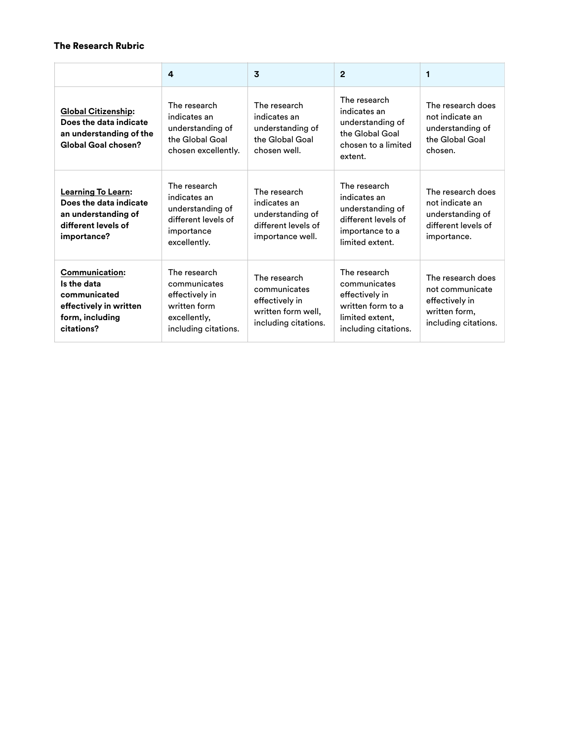#### The Research Rubric

|                                                                                                                 | 4                                                                                                      | 3                                                                                            | $\mathbf{2}$                                                                                                   | 1                                                                                               |
|-----------------------------------------------------------------------------------------------------------------|--------------------------------------------------------------------------------------------------------|----------------------------------------------------------------------------------------------|----------------------------------------------------------------------------------------------------------------|-------------------------------------------------------------------------------------------------|
| <b>Global Citizenship:</b><br>Does the data indicate<br>an understanding of the<br>Global Goal chosen?          | The research<br>indicates an<br>understanding of<br>the Global Goal<br>chosen excellently.             | The research<br>indicates an<br>understanding of<br>the Global Goal<br>chosen well.          | The research<br>indicates an<br>understanding of<br>the Global Goal<br>chosen to a limited<br>extent.          | The research does<br>not indicate an<br>understanding of<br>the Global Goal<br>chosen.          |
| Learning To Learn:<br>Does the data indicate<br>an understanding of<br>different levels of<br>importance?       | The research<br>indicates an<br>understanding of<br>different levels of<br>importance<br>excellently.  | The research<br>indicates an<br>understanding of<br>different levels of<br>importance well.  | The research<br>indicates an<br>understanding of<br>different levels of<br>importance to a<br>limited extent.  | The research does<br>not indicate an<br>understanding of<br>different levels of<br>importance.  |
| <b>Communication:</b><br>Is the data<br>communicated<br>effectively in written<br>form, including<br>citations? | The research<br>communicates<br>effectively in<br>written form<br>excellently,<br>including citations. | The research<br>communicates<br>effectively in<br>written form well.<br>including citations. | The research<br>communicates<br>effectively in<br>written form to a<br>limited extent.<br>including citations. | The research does<br>not communicate<br>effectively in<br>written form,<br>including citations. |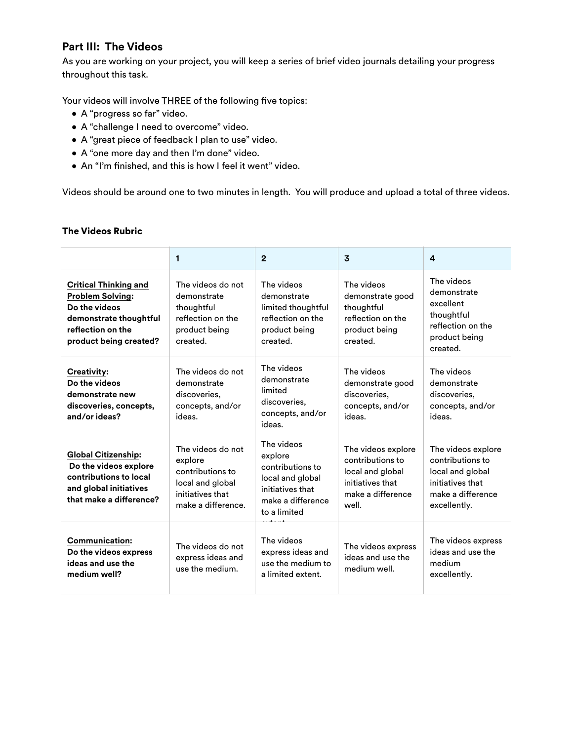# **Part III: The Videos**

As you are working on your project, you will keep a series of brief video journals detailing your progress throughout this task.

Your videos will involve **THREE** of the following five topics:

- A "progress so far" video.
- A "challenge I need to overcome" video.
- A "great piece of feedback I plan to use" video.
- A "one more day and then I'm done" video.
- An "I'm finished, and this is how I feel it went" video.

Videos should be around one to two minutes in length. You will produce and upload a total of three videos.

#### The Videos Rubric

|                                                                                                                                                   | 1                                                                                                              | $\mathbf{2}$                                                                                                           | 3                                                                                                            | 4                                                                                                                   |
|---------------------------------------------------------------------------------------------------------------------------------------------------|----------------------------------------------------------------------------------------------------------------|------------------------------------------------------------------------------------------------------------------------|--------------------------------------------------------------------------------------------------------------|---------------------------------------------------------------------------------------------------------------------|
| <b>Critical Thinking and</b><br><b>Problem Solving:</b><br>Do the videos<br>demonstrate thoughtful<br>reflection on the<br>product being created? | The videos do not<br>demonstrate<br>thoughtful<br>reflection on the<br>product being<br>created.               | The videos<br>demonstrate<br>limited thoughtful<br>reflection on the<br>product being<br>created.                      | The videos<br>demonstrate good<br>thoughtful<br>reflection on the<br>product being<br>created.               | The videos<br>demonstrate<br>excellent<br>thoughtful<br>reflection on the<br>product being<br>created.              |
| <b>Creativity:</b><br>Do the videos<br>demonstrate new<br>discoveries, concepts,<br>and/or ideas?                                                 | The videos do not<br>demonstrate<br>discoveries,<br>concepts, and/or<br>ideas.                                 | The videos<br>demonstrate<br>limited<br>discoveries.<br>concepts, and/or<br>ideas.                                     | The videos<br>demonstrate good<br>discoveries.<br>concepts, and/or<br>ideas.                                 | The videos<br>demonstrate<br>discoveries,<br>concepts, and/or<br>ideas.                                             |
| <b>Global Citizenship:</b><br>Do the videos explore<br>contributions to local<br>and global initiatives<br>that make a difference?                | The videos do not<br>explore<br>contributions to<br>local and global<br>initiatives that<br>make a difference. | The videos<br>explore<br>contributions to<br>local and global<br>initiatives that<br>make a difference<br>to a limited | The videos explore<br>contributions to<br>local and global<br>initiatives that<br>make a difference<br>well. | The videos explore<br>contributions to<br>local and global<br>initiatives that<br>make a difference<br>excellently. |
| <b>Communication:</b><br>Do the videos express<br>ideas and use the<br>medium well?                                                               | The videos do not<br>express ideas and<br>use the medium.                                                      | The videos<br>express ideas and<br>use the medium to<br>a limited extent.                                              | The videos express<br>ideas and use the<br>medium well.                                                      | The videos express<br>ideas and use the<br>medium<br>excellently.                                                   |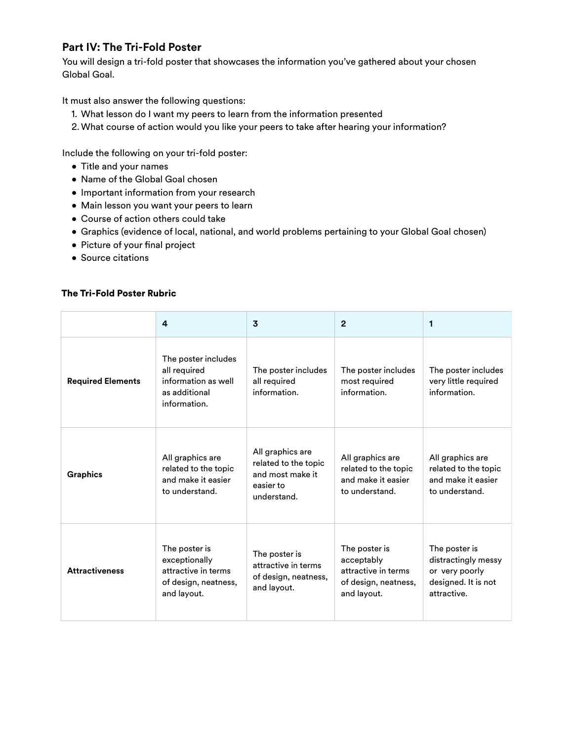### **Part IV: The Tri-Fold Poster**

You will design a tri-fold poster that showcases the information you've gathered about your chosen Global Goal.

It must also answer the following questions:

- 1. What lesson do I want my peers to learn from the information presented
- 2.What course of action would you like your peers to take after hearing your information?

Include the following on your tri-fold poster:

- Title and your names
- Name of the Global Goal chosen
- Important information from your research
- Main lesson you want your peers to learn
- Course of action others could take
- Graphics (evidence of local, national, and world problems pertaining to your Global Goal chosen)
- Picture of your final project
- Source citations

#### The Tri-Fold Poster Rubric

|                          | 4                                                                                            | 3                                                                                        | $\mathbf{2}$                                                                              | 1                                                                                            |
|--------------------------|----------------------------------------------------------------------------------------------|------------------------------------------------------------------------------------------|-------------------------------------------------------------------------------------------|----------------------------------------------------------------------------------------------|
| <b>Required Elements</b> | The poster includes<br>all required<br>information as well<br>as additional<br>information.  | The poster includes<br>all required<br>information.                                      | The poster includes<br>most required<br>information.                                      | The poster includes<br>very little required<br>information.                                  |
| <b>Graphics</b>          | All graphics are<br>related to the topic<br>and make it easier<br>to understand.             | All graphics are<br>related to the topic<br>and most make it<br>easier to<br>understand. | All graphics are<br>related to the topic<br>and make it easier<br>to understand.          | All graphics are<br>related to the topic<br>and make it easier<br>to understand.             |
| <b>Attractiveness</b>    | The poster is<br>exceptionally<br>attractive in terms<br>of design, neatness,<br>and layout. | The poster is<br>attractive in terms<br>of design, neatness,<br>and layout.              | The poster is<br>acceptably<br>attractive in terms<br>of design, neatness,<br>and layout. | The poster is<br>distractingly messy<br>or very poorly<br>designed. It is not<br>attractive. |